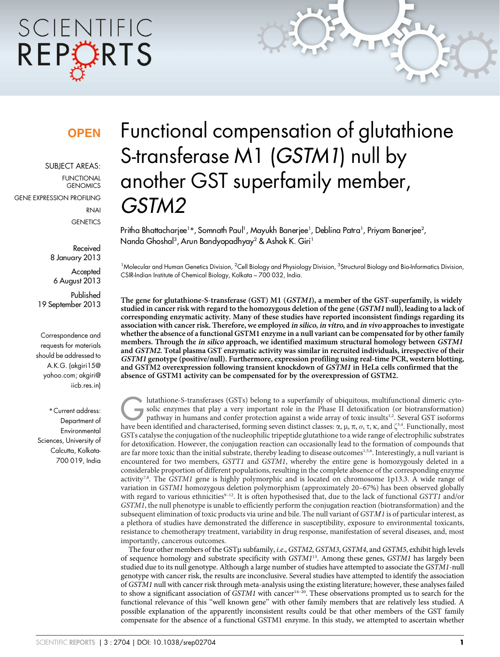# SCIENTIFIC REPORTS

### **OPEN**

SUBJECT AREAS: FUNCTIONAL **GENOMICS** GENE EXPRESSION PROFILING RNAI

**GENETICS** 

Received 8 January 2013

**Accepted** 6 August 2013

Published 19 September 2013

Correspondence and requests for materials should be addressed to A.K.G. (akgiri15@ yahoo.com; akgiri@ iicb.res.in)

\* Current address: Department of Environmental Sciences, University of Calcutta, Kolkata-700 019, India

## Functional compensation of glutathione S-transferase M1 (GSTM1) null by another GST superfamily member, GSTM2

Pritha Bhattacharjee1\*, Somnath Paul1, Mayukh Banerjee1, Deblina Patra1, Priyam Banerjee<sup>2</sup>, Nanda Ghoshal<sup>3</sup>, Arun Bandyopadhyay<sup>2</sup> & Ashok K. Giri<sup>1</sup>

<sup>1</sup>Molecular and Human Genetics Division, <sup>2</sup>Cell Biology and Physiology Division, <sup>3</sup>Structural Biology and Bio-Informatics Division, CSIR-Indian Institute of Chemical Biology, Kolkata – 700 032, India.

The gene for glutathione-S-transferase (GST) M1 (GSTM1), a member of the GST-superfamily, is widely studied in cancer risk with regard to the homozygous deletion of the gene (GSTM1 null), leading to a lack of corresponding enzymatic activity. Many of these studies have reported inconsistent findings regarding its association with cancer risk. Therefore, we employed in silico, in vitro, and in vivo approaches to investigate whether the absence of a functional GSTM1 enzyme in a null variant can be compensated for by other family members. Through the in silico approach, we identified maximum structural homology between GSTM1 and GSTM2. Total plasma GST enzymatic activity was similar in recruited individuals, irrespective of their GSTM1 genotype (positive/null). Furthermore, expression profiling using real-time PCR, western blotting, and GSTM2 overexpression following transient knockdown of GSTM1 in HeLa cells confirmed that the absence of GSTM1 activity can be compensated for by the overexpression of GSTM2.

Iutathione-S-transferases (GSTs) belong to a superfamily of ubiquitous, multifunctional dimeric cyto-<br>Solic enzymes that play a very important role in the Phase II detoxification (or biotransformation)<br>pathway in humans a solic enzymes that play a very important role in the Phase II detoxification (or biotransformation) have been identified and characterised, forming seven distinct classes:  $\alpha$ ,  $\mu$ ,  $\pi$ ,  $o$ ,  $\tau$ ,  $\kappa$ , and  $\zeta^{3,4}$ . Functionally, most GSTs catalyse the conjugation of the nucleophilic tripeptide glutathione to a wide range of electrophilic substrates for detoxification. However, the conjugation reaction can occasionally lead to the formation of compounds that are far more toxic than the initial substrate, thereby leading to disease outcomes<sup>1,5,6</sup>. Interestingly, a null variant is encountered for two members, GSTT1 and GSTM1, whereby the entire gene is homozygously deleted in a considerable proportion of different populations, resulting in the complete absence of the corresponding enzyme activity<sup>7,8</sup>. The GSTM1 gene is highly polymorphic and is located on chromosome 1p13.3. A wide range of variation in GSTM1 homozygous deletion polymorphism (approximately 20–67%) has been observed globally with regard to various ethnicities<sup>9–12</sup>. It is often hypothesised that, due to the lack of functional GSTT1 and/or GSTM1, the null phenotype is unable to efficiently perform the conjugation reaction (biotransformation) and the subsequent elimination of toxic products via urine and bile. The null variant of GSTM1 is of particular interest, as a plethora of studies have demonstrated the difference in susceptibility, exposure to environmental toxicants, resistance to chemotherapy treatment, variability in drug response, manifestation of several diseases, and, most importantly, cancerous outcomes.

The four other members of the GSTµ subfamily, *i.e.*, GSTM2, GSTM3, GSTM4, and GSTM5, exhibit high levels of sequence homology and substrate specificity with GSTM113. Among these genes, GSTM1 has largely been studied due to its null genotype. Although a large number of studies have attempted to associate the GSTM1-null genotype with cancer risk, the results are inconclusive. Several studies have attempted to identify the association of GSTM1 null with cancer risk through meta-analysis using the existing literature; however, these analyses failed to show a significant association of  $\tilde{G}STMI$  with cancer<sup>14–20</sup>. These observations prompted us to search for the functional relevance of this ''well known gene'' with other family members that are relatively less studied. A possible explanation of the apparently inconsistent results could be that other members of the GST family compensate for the absence of a functional GSTM1 enzyme. In this study, we attempted to ascertain whether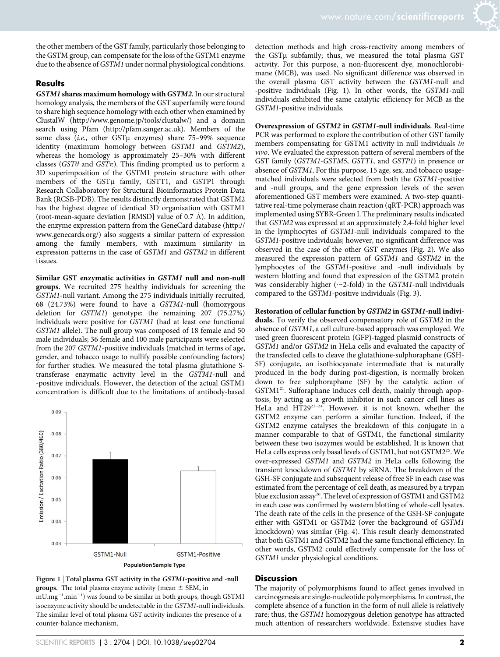the other members of the GST family, particularly those belonging to the GSTM group, can compensate for the loss of the GSTM1 enzyme due to the absence of GSTM1 under normal physiological conditions.

#### **Results**

GSTM1 shares maximum homology with GSTM2. In our structural homology analysis, the members of the GST superfamily were found to share high sequence homology with each other when examined by ClustalW [\(http://www.genome.jp/tools/clustalw/](http://www.genome.jp/tools/clustalw)) and a domain search using Pfam ([http://pfam.sanger.ac.uk\)](http://pfam.sanger.ac.uk). Members of the same class (*i.e.*, other GST $\mu$  enzymes) share 75–99% sequence identity (maximum homology between GSTM1 and GSTM2), whereas the homology is approximately 25–30% with different classes (GST $\theta$  and GST $\pi$ ). This finding prompted us to perform a 3D superimposition of the GSTM1 protein structure with other members of the GSTµ family, GSTT1, and GSTP1 through Research Collaboratory for Structural Bioinformatics Protein Data Bank (RCSB-PDB). The results distinctly demonstrated that GSTM2 has the highest degree of identical 3D organisation with GSTM1 (root-mean-square deviation [RMSD] value of  $0.7 \text{ Å}$ ). In addition, the enzyme expression pattern from the GeneCard database ([http://](http://www.genecards.org) [www.genecards.org/](http://www.genecards.org)) also suggests a similar pattern of expression among the family members, with maximum similarity in expression patterns in the case of GSTM1 and GSTM2 in different tissues.

Similar GST enzymatic activities in GSTM1 null and non-null groups. We recruited 275 healthy individuals for screening the GSTM1-null variant. Among the 275 individuals initially recruited, 68 (24.73%) were found to have a GSTM1-null (homozygous deletion for GSTM1) genotype; the remaining 207 (75.27%) individuals were positive for GSTM1 (had at least one functional GSTM1 allele). The null group was composed of 18 female and 50 male individuals; 36 female and 100 male participants were selected from the 207 GSTM1-positive individuals (matched in terms of age, gender, and tobacco usage to nullify possible confounding factors) for further studies. We measured the total plasma glutathione Stransferase enzymatic activity level in the GSTM1-null and -positive individuals. However, the detection of the actual GSTM1 concentration is difficult due to the limitations of antibody-based



Figure 1 | Total plasma GST activity in the *GSTM1*-positive and -null **groups.** The total plasma enzyme activity (mean  $\pm$  SEM, in mU.mg<sup>-1</sup>.min<sup>-1</sup>) was found to be similar in both groups, though GSTM1 isoenzyme activity should be undetectable in the GSTM1-null individuals. The similar level of total plasma GST activity indicates the presence of a

detection methods and high cross-reactivity among members of the GSTµ subfamily; thus, we measured the total plasma GST activity. For this purpose, a non-fluorescent dye, monochlorobimane (MCB), was used. No significant difference was observed in the overall plasma GST activity between the GSTM1-null and -positive individuals (Fig. 1). In other words, the GSTM1-null individuals exhibited the same catalytic efficiency for MCB as the GSTM1-positive individuals.

Overexpression of GSTM2 in GSTM1-null individuals. Real-time PCR was performed to explore the contribution of other GST family members compensating for GSTM1 activity in null individuals in vivo. We evaluated the expression pattern of several members of the GST family (GSTM1-GSTM5, GSTT1, and GSTP1) in presence or absence of GSTM1. For this purpose, 15 age, sex, and tobacco usagematched individuals were selected from both the GSTM1-positive and -null groups, and the gene expression levels of the seven aforementioned GST members were examined. A two-step quantitative real-time polymerase chain reaction (qRT-PCR) approach was implemented using SYBR-Green I. The preliminary results indicated that GSTM2 was expressed at an approximately 2.4-fold higher level in the lymphocytes of GSTM1-null individuals compared to the GSTM1-positive individuals; however, no significant difference was observed in the case of the other GST enzymes (Fig. 2). We also measured the expression pattern of GSTM1 and GSTM2 in the lymphocytes of the GSTM1-positive and -null individuals by western blotting and found that expression of the GSTM2 protein was considerably higher ( $\sim$ 2-fold) in the GSTM1-null individuals compared to the GSTM1-positive individuals (Fig. 3).

Restoration of cellular function by GSTM2 in GSTM1-null individuals. To verify the observed compensatory role of GSTM2 in the absence of GSTM1, a cell culture-based approach was employed. We used green fluorescent protein (GFP)-tagged plasmid constructs of GSTM1 and/or GSTM2 in HeLa cells and evaluated the capacity of the transfected cells to cleave the glutathione-sulphoraphane (GSH-SF) conjugate, an isothiocyanate intermediate that is naturally produced in the body during post-digestion, is normally broken down to free sulphoraphane (SF) by the catalytic action of GSTM1<sup>21</sup>. Sulforaphane induces cell death, mainly through apoptosis, by acting as a growth inhibitor in such cancer cell lines as HeLa and HT29<sup>22-24</sup>. However, it is not known, whether the GSTM2 enzyme can perform a similar function. Indeed, if the GSTM2 enzyme catalyses the breakdown of this conjugate in a manner comparable to that of GSTM1, the functional similarity between these two isozymes would be established. It is known that HeLa cells express only basal levels of GSTM1, but not GSTM225. We over-expressed GSTM1 and GSTM2 in HeLa cells following the transient knockdown of GSTM1 by siRNA. The breakdown of the GSH-SF conjugate and subsequent release of free SF in each case was estimated from the percentage of cell death, as measured by a trypan blue exclusion assay<sup>26</sup>. The level of expression of GSTM1 and GSTM2 in each case was confirmed by western blotting of whole-cell lysates. The death rate of the cells in the presence of the GSH-SF conjugate either with GSTM1 or GSTM2 (over the background of GSTM1 knockdown) was similar (Fig. 4). This result clearly demonstrated that both GSTM1 and GSTM2 had the same functional efficiency. In other words, GSTM2 could effectively compensate for the loss of GSTM1 under physiological conditions.

#### **Discussion**

The majority of polymorphisms found to affect genes involved in carcinogenesis are single-nucleotide polymorphisms. In contrast, the complete absence of a function in the form of null allele is relatively rare; thus, the GSTM1 homozygous deletion genotype has attracted much attention of researchers worldwide. Extensive studies have

counter-balance mechanism.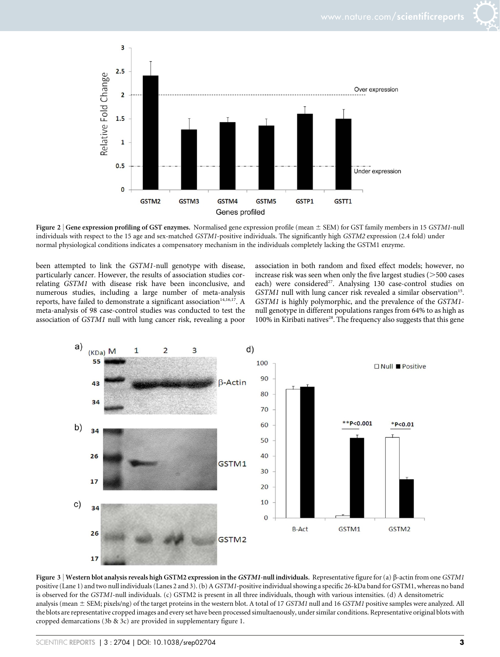

Figure 2 | Gene expression profiling of GST enzymes. Normalised gene expression profile (mean  $\pm$  SEM) for GST family members in 15 GSTM1-null individuals with respect to the 15 age and sex-matched GSTM1-positive individuals. The significantly high GSTM2 expression (2.4 fold) under normal physiological conditions indicates a compensatory mechanism in the individuals completely lacking the GSTM1 enzyme.

been attempted to link the GSTM1-null genotype with disease, particularly cancer. However, the results of association studies correlating GSTM1 with disease risk have been inconclusive, and numerous studies, including a large number of meta-analysis reports, have failed to demonstrate a significant association<sup>14,16,17</sup>. A meta-analysis of 98 case-control studies was conducted to test the association of GSTM1 null with lung cancer risk, revealing a poor association in both random and fixed effect models; however, no increase risk was seen when only the five largest studies  $($  > 500 cases each) were considered<sup>27</sup>. Analysing 130 case-control studies on  $GSTM1$  null with lung cancer risk revealed a similar observation<sup>15</sup>. GSTM1 is highly polymorphic, and the prevalence of the GSTM1 null genotype in different populations ranges from 64% to as high as 100% in Kiribati natives<sup>28</sup>. The frequency also suggests that this gene



Figure 3 | Western blot analysis reveals high GSTM2 expression in the GSTM1-null individuals. Representative figure for (a)  $\beta$ -actin from one GSTM1 positive (Lane 1) and two null individuals (Lanes 2 and 3). (b) AGSTM1-positive individual showing a specific 26-kDa band for GSTM1, whereas no band is observed for the GSTM1-null individuals. (c) GSTM2 is present in all three individuals, though with various intensities. (d) A densitometric analysis (mean  $\pm$  SEM; pixels/ng) of the target proteins in the western blot. A total of 17 GSTM1 null and 16 GSTM1 positive samples were analyzed. All the blots are representative cropped images and every set have been processed simultaenously, under similar conditions. Representative original blots with cropped demarcations (3b & 3c) are provided in supplementary figure 1.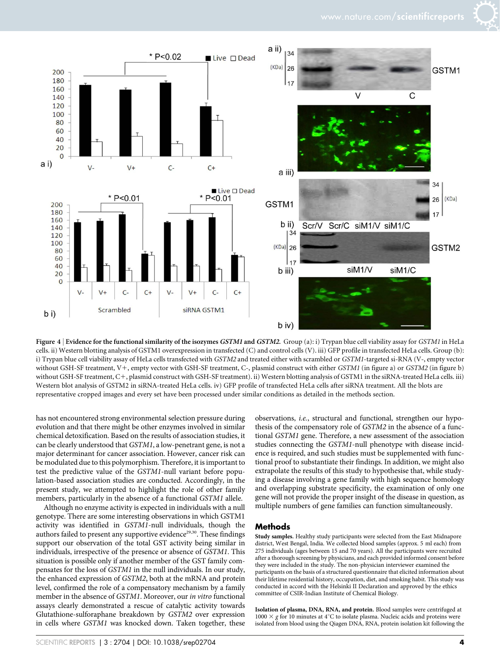

Figure 4 | Evidence for the functional similarity of the isozymes GSTM1 and GSTM2. Group (a): i) Trypan blue cell viability assay for GSTM1 in HeLa cells. ii) Western blotting analysis of GSTM1 overexpression in transfected (C) and control cells (V). iii) GFP profile in transfected HeLa cells. Group (b): i) Trypan blue cell viability assay of HeLa cells transfected with GSTM2 and treated either with scrambled or GSTM1-targeted si-RNA (V-, empty vector without GSH-SF treatment, V+, empty vector with GSH-SF treatment, C-, plasmid construct with either GSTM1 (in figure a) or GSTM2 (in figure b) without GSH-SF treatment, C+, plasmid construct with GSH-SF treatment). ii) Western blotting analysis of GSTM1 in the siRNA-treated HeLa cells. iii) Western blot analysis of GSTM2 in siRNA-treated HeLa cells. iv) GFP profile of transfected HeLa cells after siRNA treatment. All the blots are representative cropped images and every set have been processed under similar conditions as detailed in the methods section.

has not encountered strong environmental selection pressure during evolution and that there might be other enzymes involved in similar chemical detoxification. Based on the results of association studies, it can be clearly understood that GSTM1, a low-penetrant gene, is not a major determinant for cancer association. However, cancer risk can be modulated due to this polymorphism. Therefore, it is important to test the predictive value of the GSTM1-null variant before population-based association studies are conducted. Accordingly, in the present study, we attempted to highlight the role of other family members, particularly in the absence of a functional *GSTM1* allele.

Although no enzyme activity is expected in individuals with a null genotype. There are some interesting observations in which GSTM1 activity was identified in GSTM1-null individuals, though the authors failed to present any supportive evidence<sup>29,30</sup>. These findings support our observation of the total GST activity being similar in individuals, irrespective of the presence or absence of GSTM1. This situation is possible only if another member of the GST family compensates for the loss of GSTM1 in the null individuals. In our study, the enhanced expression of GSTM2, both at the mRNA and protein level, confirmed the role of a compensatory mechanism by a family member in the absence of GSTM1. Moreover, our in vitro functional assays clearly demonstrated a rescue of catalytic activity towards Glutathione-sulforaphane breakdown by GSTM2 over expression in cells where GSTM1 was knocked down. Taken together, these

observations, i.e., structural and functional, strengthen our hypothesis of the compensatory role of GSTM2 in the absence of a functional GSTM1 gene. Therefore, a new assessment of the association studies connecting the GSTM1-null phenotype with disease incidence is required, and such studies must be supplemented with functional proof to substantiate their findings. In addition, we might also extrapolate the results of this study to hypothesise that, while studying a disease involving a gene family with high sequence homology and overlapping substrate specificity, the examination of only one gene will not provide the proper insight of the disease in question, as multiple numbers of gene families can function simultaneously.

#### Methods

Study samples. Healthy study participants were selected from the East Midnapore district, West Bengal, India. We collected blood samples (approx. 5 ml each) from 275 individuals (ages between 15 and 70 years). All the participants were recruited after a thorough screening by physicians, and each provided informed consent before they were included in the study. The non-physician interviewer examined the participants on the basis of a structured questionnaire that elicited information about their lifetime residential history, occupation, diet, and smoking habit. This study was conducted in accord with the Helsinki II Declaration and approved by the ethics committee of CSIR-Indian Institute of Chemical Biology.

Isolation of plasma, DNA, RNA, and protein. Blood samples were centrifuged at  $1000 \times g$  for 10 minutes at 4°C to isolate plasma. Nucleic acids and proteins were isolated from blood using the Qiagen DNA, RNA, protein isolation kit following the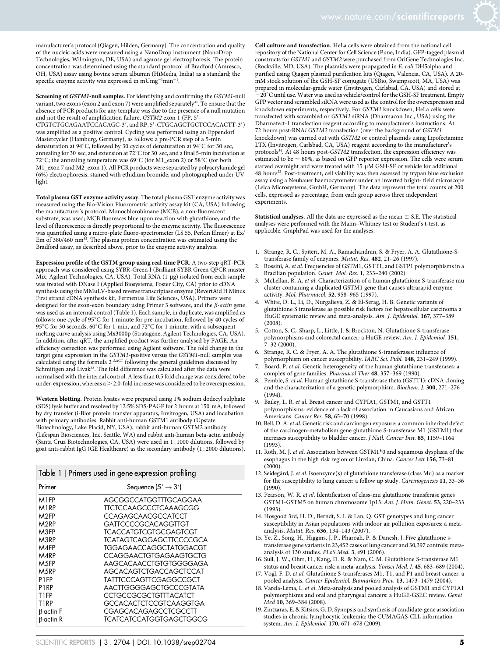manufacturer's protocol (Qiagen, Hilden, Germany). The concentration and quality of the nucleic acids were measured using a NanoDrop instrument (NanoDrop Technologies, Wilmington, DE, USA) and agarose gel electrophoresis. The protein concentration was determined using the standard protocol of Bradford (Amresco, OH, USA) assay using bovine serum albumin (HiMedia, India) as a standard; the specific enzyme activity was expressed in  $\mathrm{mUmg^{-1}min^{-1}}$ .

Screening of GSTM1-null samples. For identifying and confirming the GSTM1-null variant, two exons (exon 2 and exon 7) were amplified separately<sup>31</sup>. To ensure that the absence of PCR products for any template was due to the presence of a null mutation and not the result of amplification failure, GSTM2 exon 1 (FP, 5' CTGTCTGCAGAATCCACAGC-3', and RP, 5'-CTGCAGCTGCTCCACACTT-3') was amplified as a positive control. Cycling was performed using an Eppendorf Mastercycler (Hamburg, Germany), as follows: a pre-PCR step of a 5-min denaturation at 94°C, followed by 30 cycles of denaturation at 94°C for 30 sec, annealing for 30 sec, and extension at  $72^{\circ}$ C for 30 sec, and a final 5-min incubation at 72<sup>°</sup>C; the annealing temperature was  $69^{\circ}$ C (for M1\_exon 2) or 58<sup>°</sup>C (for both M1\_exon 7 and M2\_exon 1). All PCR products were separated by polyacrylamide gel (6%) electrophoresis, stained with ethidium bromide, and photographed under UV light.

Total plasma GST enzyme activity assay. The total plasma GST enzyme activity was measured using the Bio-Vision Fluorometric activity assay kit (CA, USA) following the manufacturer's protocol. Monochlorobimane (MCB), a non-fluorescent substrate, was used; MCB fluoresces blue upon reaction with glutathione, and the level of fluorescence is directly proportional to the enzyme activity. The fluorescence was quantified using a micro-plate fluoro-spectrometer (LS 55, Perkin Elmer) at Ex/<br>Em of 380/460 nm<sup>32</sup>. The plasma protein concentration was estimated using the Bradford assay, as described above, prior to the enzyme activity analysis.

Expression profile of the GSTM group using real-time PCR. A two-step qRT-PCR approach was considered using SYBR-Green I (Brilliant SYBR Green QPCR master Mix, Agilent Technologies, CA, USA). Total RNA (1 μg) isolated from each sample was treated with DNase I (Applied Biosystems, Foster City, CA) prior to cDNA synthesis using the MMuLV-based reverse transcriptase enzyme (RevertAid H Minus First strand cDNA synthesis kit, Fermentas Life Sciences, USA). Primers were designed for the exon-exon boundary using Primer 3 software, and the  $\beta$ -actin gene was used as an internal control (Table 1). Each sample, in duplicate, was amplified as follows: one cycle of 95 $^{\circ}$ C for 1 minute for pre-incubation, followed by 40 cycles of 95<sup>°</sup>C for 30 seconds, 60<sup>°</sup>C for 1 min, and 72<sup>°</sup>C for 1 minute, with a subsequent melting curve analysis using Mx3000p (Stratagene, Agilent Technologies, CA, USA). In addition, after qRT, the amplified product was further analysed by PAGE. An efficiency correction was performed using Agilent software. The fold change in the target gene expression in the GSTM1-positive versus the GSTM1-null samples was<br>calculated using the formula 2<sup>-ΔΔCT</sup> following the general guidelines discussed by Schmittgen and Livak<sup>33</sup>. The fold difference was calculated after the data were normalised with the internal control. A less than 0.5 fold change was considered to be under-expression, whereas a  $>$  2.0-fold increase was considered to be overexpression.

Western blotting. Protein lysates were prepared using 1% sodium dodecyl sulphate (SDS) lysis buffer and resolved by 12.5% SDS-PAGE for 2 hours at 150 mA, followed by dry transfer (i-Blot protein transfer apparatus, Invitrogen, USA) and incubation with primary antibodies. Rabbit anti-human GSTM1 antibody (Upstate Biotechnology, Lake Placid, NY, USA), rabbit anti-human GSTM2 antibody (Lifespan Biosciences, Inc, Seattle, WA) and rabbit anti-human beta-actin antibody (Santa Cruz Biotechnologies, CA, USA) were used in 1:1000 dilutions, followed by goat anti-rabbit IgG (GE Healthcare) as the secondary antibody (1:2000 dilutions).

| Table 1   Primers used in gene expression profiling |                                |
|-----------------------------------------------------|--------------------------------|
| Primer                                              | Sequence $(5' \rightarrow 3')$ |
| M1FP                                                | AGCGGCCATGGTTTGCAGGAA          |
| M1RP                                                | TTCTCCAAGCCCTCAAAGCGG          |
| M2FP                                                | <b>CCAGAGCAACGCCATCCT</b>      |
| M2RP                                                | GATTCCCCGCACAGGTTGT            |
| M3FP                                                | <b>TCACCATGTCGTGCGAGTCGT</b>   |
| M3RP                                                | TCATAGTCAGGAGCTTCCCCCGCA       |
| M4FP                                                | TGGAGAACCAGGCTATGGACGT         |
| M4RP                                                | CCAGGAACTGTGAGAAGTGCTG         |
| M <sub>5FP</sub>                                    | AAGCACAACCTGTGTGGGGAGA         |
| M5RP                                                | AGCACAGTCTGACCAGCTCCAT         |
| P1FP                                                | TATTTCCCAGTTCGAGGCCGCT         |
| P1RP                                                | AACTTGGGGAGCTGCCCGTATA         |
| T1FP                                                | <b>CCTGCCGCGCTGTTTACATCT</b>   |
| <b>T1RP</b>                                         | GCCACACTCTCCGTCAAGGTGA         |
| $\beta$ -actin F                                    | CGAGCACAGAGCCTCGCCTT           |
| $\beta$ -actin R                                    | TCATCATCCATGGTGAGCTGGCG        |

Cell culture and transfection. HeLa cells were obtained from the national cell repository of the National Center for Cell Science (Pune, India). GFP-tagged plasmid constructs for GSTM1 and GSTM2 were purchased from OriGene Technologies Inc. (Rockville, MD, USA). The plasmids were propagated in E. coli DH5alpha and purified using Qiagen plasmid purification kits (Qiagen, Valencia, CA, USA). A 20 mM stock solution of the GSH-SF conjugate (USBio, Swampscott, MA, USA) was prepared in molecular-grade water (Invitrogen, Carlsbad, CA, USA) and stored at -20°C until use. Water was used as vehicle/control for the GSH-SF treatment. Empty GFP vector and scrambled siRNA were used as the control for the overexpression and knockdown experiments, respectively. For GSTM1 knockdown, HeLa cells were transfected with scrambled or GSTM1 siRNA (Dharmacon Inc., USA) using the Dharmafect-1 transfection reagent according to manufacturer's instructions. At 72 hours post-RNAi GSTM2 transfection (over the background of GSTM1 knockdown) was carried out with GSTM2 or control plasmids using Lipofectamine LTX (Invitrogen, Carlsbad, CA, USA) reagent according to the manufacturer's protocols<sup>34</sup>. At 48 hours post-GSTM2 transfection, the expression efficiency was estimated to be  $\sim$  80%, as based on GFP reporter expression. The cells were serum starved overnight and were treated with  $15$   $\mu$ M GSH-SF or vehicle for additional 48 hours<sup>22</sup>. Post-treatment, cell viability was then assessed by trypan blue exclusion assay using a Neubauer haemocytometer under an inverted bright- field microscope (Leica Microsystems, GmbH, Germany). The data represent the total counts of 200 cells, expressed as percentage, from each group across three independent experiments.

**Statistical analyses.** All the data are expressed as the mean  $\pm$  S.E. The statistical analyses were performed with the Mann–Whitney test or Student's t-test, as applicable. GraphPad was used for the analyses.

- 1. Strange, R. C., Spiteri, M. A., Ramachandran, S. & Fryer, A. A. Glutathione-Stransferase family of enzymes. Mutat. Res. 482, 21–26 (1997).
- Rossini, A. et al. Frequencies of GSTM1, GSTT1, and GSTP1 polymorphisms in a Brazilian population. Genet. Mol. Res. 1, 233–240 (2002).
- McLellan, R. A. et al. Characterization of a human glutathione S-transferase mu cluster containing a duplicated GSTM1 gene that causes ultrarapid enzyme activity. Mol. Pharmacol. 52, 958–965 (1997).
- 4. White, D. L., Li, D., Nurgalieva, Z. & El-Serag, H. B. Genetic variants of glutathione S transferase as possible risk factors for hepatocellular carcinoma a HuGE systematic review and meta-analysis. Am. J. Epidemiol. 167, 377–389 (2008).
- 5. Cotton, S. C., Sharp, L., Little, J. & Brockton, N. Glutathione S-transferase polymorphisms and colorectal cancer: a HuGE review. Am. J. Epidemiol. 151, 7–32 (2000).
- 6. Strange, R. C. & Fryer, A. A. The glutathione S-transferases: influence of polymorphism on cancer susceptibility. IARC Sci. Publ. 148, 231–249 (1999).
- Board, P. et al. Genetic heterogeneity of the human glutathione transferases: a complex of gene families. Pharmacol Ther 48, 357–369 (1990).
- 8. Pemble, S. et al. Human glutathione S-transferase theta (GSTT1): cDNA cloning and the characterization of a genetic polymorphism. Biochem. J. 300, 271–276 (1994).
- 9. Bailey, L. R. et al. Breast cancer and CYPIA1, GSTM1, and GSTT1 polymorphisms: evidence of a lack of association in Caucasians and African Americans. Cancer Res. 58, 65–70 (1998).
- 10. Bell, D. A.et al. Genetic risk and carcinogen exposure: a common inherited defect of the carcinogen-metabolism gene glutathione S-transferase M1 (GSTM1) that increases susceptibility to bladder cancer. J Natl. Cancer Inst. 85, 1159–1164 (1993).
- 11. Roth, M. J. et al. Association between GSTM1\*0 and squamous dysplasia of the esophagus in the high risk region of Linxian, China. Cancer Lett 156, 73–81  $(2000)$
- 12. Seidegård, J. et al. Isoenzyme(s) of glutathione transferase (class Mu) as a marker for the susceptibility to lung cancer: a follow up study. Carcinogenesis 11, 33–36 (1990).
- 13. Pearson, W. R. et al. Identification of class-mu glutathione transferase genes GSTM1-GSTM5 on human chromosome 1p13. Am. J. Hum. Genet. 53, 220–233 (1993).
- 14. Hosgood 3rd, H. D., Berndt, S. I. & Lan, Q. GST genotypes and lung cancer susceptibility in Asian populations with indoor air pollution exposures: a metaanalysis. Mutat. Res. 636, 134–143 (2007).
- 15. Ye, Z., Song, H., Higgins, J. P., Pharoah, P. & Danesh, J. Five glutathione stransferase gene variants in 23,452 cases of lung cancer and 30,397 controls: metaanalysis of 130 studies. PLoS Med. 3, e91 (2006).
- 16. Sull, J. W., Ohrr, H., Kang, D. R. & Nam, C. M. Glutathione S-transferase M1 status and breast cancer risk: a meta-analysis. Yonsei Med. J. 45, 683–689 (2004).
- 17. Vogl, F. D. et al. Glutathione S-transferases M1, T1, and P1 and breast cancer: a pooled analysis. Cancer Epidemiol. Biomarkers Prev. 13, 1473–1479 (2004).
- 18. Varela-Lema, L. et al. Meta-analysis and pooled analysis of GSTM1 and CYP1A1 polymorphisms and oral and pharyngeal cancers: a HuGE-GSEC review. Genet Med 10, 369–384 (2008).
- 19. Zintzaras, E. & Kitsios, G. D. Synopsis and synthesis of candidate-gene association studies in chronic lymphocytic leukemia: the CUMAGAS-CLL information system. Am. J. Epidemiol. 170, 671–678 (2009).